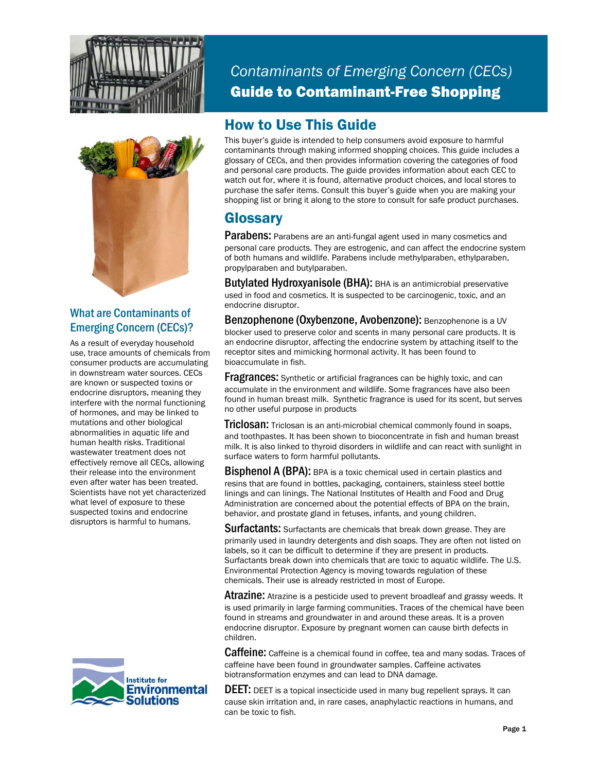



#### What are Contaminants of Emerging Concern (CECs)?

As a result of everyday household use, trace amounts of chemicals from consumer products are accumulating in downstream water sources. CECs are known or suspected toxins or endocrine disruptors, meaning they interfere with the normal functioning of hormones, and may be linked to mutations and other biological abnormalities in aquatic life and human health risks. Traditional wastewater treatment does not effectively remove all CECs, allowing their release into the environment even after water has been treated. Scientists have not yet characterized what level of exposure to these suspected toxins and endocrine disruptors is harmful to humans.



*Contaminants of Emerging Concern (CECs)*  Guide to Contaminant-Free Shopping

### How to Use This Guide

This buyer's guide is intended to help consumers avoid exposure to harmful contaminants through making informed shopping choices. This guide includes a glossary of CECs, and then provides information covering the categories of food and personal care products. The guide provides information about each CEC to watch out for, where it is found, alternative product choices, and local stores to purchase the safer items. Consult this buyer's guide when you are making your shopping list or bring it along to the store to consult for safe product purchases.

### **Glossary**

**Parabens:** Parabens are an anti-fungal agent used in many cosmetics and personal care products. They are estrogenic, and can affect the endocrine system of both humans and wildlife. Parabens include methylparaben, ethylparaben, propylparaben and butylparaben.

Butylated Hydroxyanisole (BHA): BHA is an antimicrobial preservative used in food and cosmetics. It is suspected to be carcinogenic, toxic, and an endocrine disruptor.

Benzophenone (Oxybenzone, Avobenzone): Benzophenone is a UV blocker used to preserve color and scents in many personal care products. It is an endocrine disruptor, affecting the endocrine system by attaching itself to the receptor sites and mimicking hormonal activity. It has been found to bioaccumulate in fish.

**Fragrances:** Synthetic or artificial fragrances can be highly toxic, and can accumulate in the environment and wildlife. Some fragrances have also been found in human breast milk. Synthetic fragrance is used for its scent, but serves no other useful purpose in products

**Triclosan:** Triclosan is an anti-microbial chemical commonly found in soaps, and toothpastes. It has been shown to bioconcentrate in fish and human breast milk. It is also linked to thyroid disorders in wildlife and can react with sunlight in surface waters to form harmful pollutants.

**Bisphenol A (BPA):** BPA is a toxic chemical used in certain plastics and resins that are found in bottles, packaging, containers, stainless steel bottle linings and can linings. The National Institutes of Health and Food and Drug Administration are concerned about the potential effects of BPA on the brain, behavior, and prostate gland in fetuses, infants, and young children.

**Surfactants:** Surfactants are chemicals that break down grease. They are primarily used in laundry detergents and dish soaps. They are often not listed on labels, so it can be difficult to determine if they are present in products. Surfactants break down into chemicals that are toxic to aquatic wildlife. The U.S. Environmental Protection Agency is moving towards regulation of these chemicals. Their use is already restricted in most of Europe.

**Atrazine:** Atrazine is a pesticide used to prevent broadleaf and grassy weeds. It is used primarily in large farming communities. Traces of the chemical have been found in streams and groundwater in and around these areas. It is a proven endocrine disruptor. Exposure by pregnant women can cause birth defects in children.

Caffeine: Caffeine is a chemical found in coffee, tea and many sodas. Traces of caffeine have been found in groundwater samples. Caffeine activates biotransformation enzymes and can lead to DNA damage.

**DEET:** DEET is a topical insecticide used in many bug repellent sprays. It can cause skin irritation and, in rare cases, anaphylactic reactions in humans, and can be toxic to fish.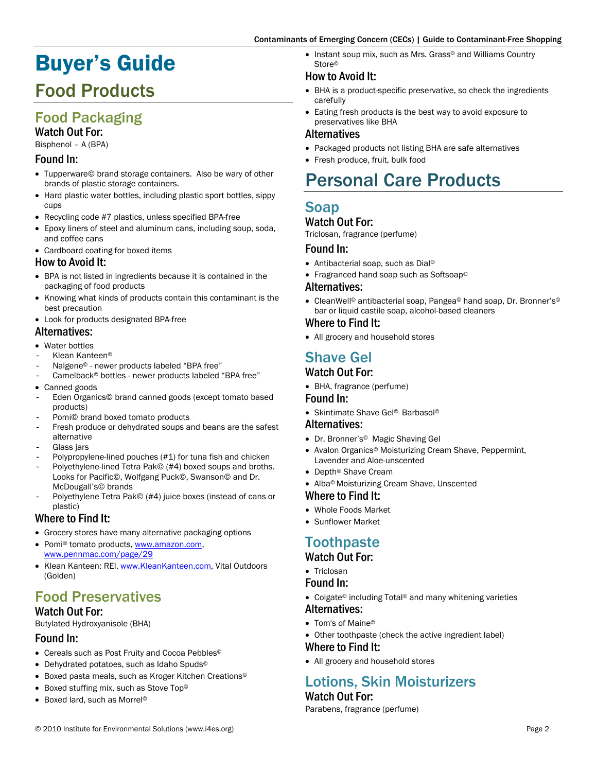# Buyer's Guide

## Food Products

### Food Packaging Watch Out For:

Bisphenol – A (BPA)

#### Found In:

- Tupperware© brand storage containers. Also be wary of other brands of plastic storage containers.
- Hard plastic water bottles, including plastic sport bottles, sippy cups
- Recycling code #7 plastics, unless specified BPA-free
- Epoxy liners of steel and aluminum cans, including soup, soda, and coffee cans
- Cardboard coating for boxed items

#### How to Avoid It:

- BPA is not listed in ingredients because it is contained in the packaging of food products
- Knowing what kinds of products contain this contaminant is the best precaution
- Look for products designated BPA-free

#### Alternatives:

- Water bottles
- Klean Kanteen<sup>®</sup>
- Nalgene<sup>®</sup> newer products labeled "BPA free"
- Camelback<sup>®</sup> bottles newer products labeled "BPA free"
- Canned goods
- Eden Organics© brand canned goods (except tomato based products)
- Pomi© brand boxed tomato products
- Fresh produce or dehydrated soups and beans are the safest alternative
- Glass jars
- Polypropylene-lined pouches (#1) for tuna fish and chicken
- Polyethylene-lined Tetra Pak© (#4) boxed soups and broths. Looks for Pacific©, Wolfgang Puck©, Swanson© and Dr. McDougall's© brands
- Polyethylene Tetra Pak© (#4) juice boxes (instead of cans or plastic)

#### Where to Find It:

- Grocery stores have many alternative packaging options
- Pomi<sup>®</sup> tomato products, www.amazon.com, www.pennmac.com/page/29
- Klean Kanteen: REI, www.KleanKanteen.com, Vital Outdoors (Golden)

## Food Preservatives

#### Watch Out For:

Butylated Hydroxyanisole (BHA)

### Found In:

- Cereals such as Post Fruity and Cocoa Pebbles<sup>®</sup>
- Dehydrated potatoes, such as Idaho Spuds©
- Boxed pasta meals, such as Kroger Kitchen Creations©
- Boxed stuffing mix, such as Stove Top©
- Boxed lard, such as Morrel©

• Instant soup mix, such as Mrs. Grass© and Williams Country Store©

#### How to Avoid It:

- BHA is a product-specific preservative, so check the ingredients carefully
- Eating fresh products is the best way to avoid exposure to preservatives like BHA

#### Alternatives

- Packaged products not listing BHA are safe alternatives
- Fresh produce, fruit, bulk food

## Personal Care Products

## Soap

#### Watch Out For:

Triclosan, fragrance (perfume)

#### Found In:

- Antibacterial soap, such as Dial©
- Fragranced hand soap such as Softsoap©

#### Alternatives:

• CleanWell© antibacterial soap, Pangea© hand soap, Dr. Bronner's© bar or liquid castile soap, alcohol-based cleaners

#### Where to Find It:

• All grocery and household stores

## Shave Gel

#### Watch Out For:

• BHA, fragrance (perfume)

#### Found In:

• Skintimate Shave Gel©, Barbasol©

#### Alternatives:

- Dr. Bronner's© Magic Shaving Gel
- Avalon Organics© Moisturizing Cream Shave, Peppermint, Lavender and Aloe-unscented
- Depth© Shave Cream
- Alba© Moisturizing Cream Shave, Unscented

#### Where to Find It:

- Whole Foods Market
- Sunflower Market

## **Toothpaste**

#### Watch Out For:

• Triclosan

#### Found In:

- Colgate© including Total© and many whitening varieties Alternatives:
- Tom's of Maine©
- Other toothpaste (check the active ingredient label)

#### Where to Find It:

• All grocery and household stores

#### Lotions, Skin Moisturizers Watch Out For:

Parabens, fragrance (perfume)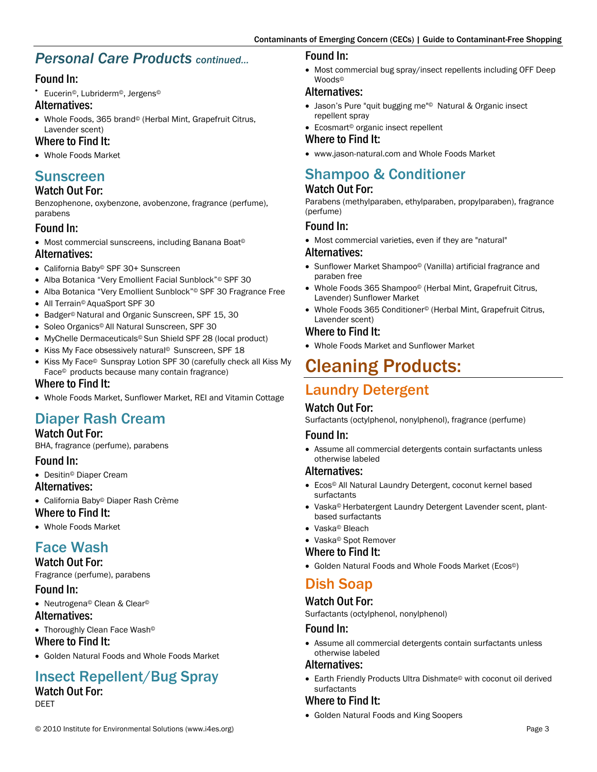### *Personal Care Products continued…*

#### Found In:

• Eucerin©, Lubriderm©, Jergens©

#### Alternatives:

• Whole Foods, 365 brand© (Herbal Mint, Grapefruit Citrus, Lavender scent)

#### Where to Find It:

• Whole Foods Market

### Sunscreen

#### Watch Out For:

Benzophenone, oxybenzone, avobenzone, fragrance (perfume), parabens

#### Found In:

• Most commercial sunscreens, including Banana Boat©

#### Alternatives:

- California Baby© SPF 30+ Sunscreen
- Alba Botanica "Very Emollient Facial Sunblock"© SPF 30
- Alba Botanica "Very Emollient Sunblock"© SPF 30 Fragrance Free
- All Terrain© AquaSport SPF 30
- Badger© Natural and Organic Sunscreen, SPF 15, 30
- Soleo Organics© All Natural Sunscreen, SPF 30
- MyChelle Dermaceuticals© Sun Shield SPF 28 (local product)
- Kiss My Face obsessively natural© Sunscreen, SPF 18
- Kiss My Face© Sunspray Lotion SPF 30 (carefully check all Kiss My Face© products because many contain fragrance)

#### Where to Find It:

• Whole Foods Market, Sunflower Market, REI and Vitamin Cottage

## Diaper Rash Cream

#### Watch Out For:

BHA, fragrance (perfume), parabens

#### Found In:

• Desitin© Diaper Cream

Alternatives:

• California Baby© Diaper Rash Crème

#### Where to Find It:

• Whole Foods Market

### Face Wash

Watch Out For: Fragrance (perfume), parabens

#### Found In:

• Neutrogena© Clean & Clear©

#### Alternatives:

• Thoroughly Clean Face Wash© Where to Find It:

• Golden Natural Foods and Whole Foods Market

## Insect Repellent/Bug Spray

#### Watch Out For: DEET

#### Found In:

• Most commercial bug spray/insect repellents including OFF Deep Woods©

#### Alternatives:

- Jason's Pure "quit bugging me"© Natural & Organic insect repellent spray
- Ecosmart© organic insect repellent

#### Where to Find It:

• www.jason-natural.com and Whole Foods Market

## Shampoo & Conditioner

#### Watch Out For:

Parabens (methylparaben, ethylparaben, propylparaben), fragrance (perfume)

#### Found In:

• Most commercial varieties, even if they are "natural"

#### Alternatives:

- Sunflower Market Shampoo© (Vanilla) artificial fragrance and paraben free
- Whole Foods 365 Shampoo© (Herbal Mint, Grapefruit Citrus, Lavender) Sunflower Market
- Whole Foods 365 Conditioner© (Herbal Mint, Grapefruit Citrus, Lavender scent)

#### Where to Find It:

• Whole Foods Market and Sunflower Market

## Cleaning Products:

## Laundry Detergent

#### Watch Out For:

Surfactants (octylphenol, nonylphenol), fragrance (perfume)

#### Found In:

• Assume all commercial detergents contain surfactants unless otherwise labeled

#### Alternatives:

- Ecos© All Natural Laundry Detergent, coconut kernel based surfactants
- Vaska© Herbatergent Laundry Detergent Lavender scent, plantbased surfactants
- Vaska© Bleach
- Vaska© Spot Remover

#### Where to Find It:

• Golden Natural Foods and Whole Foods Market (Ecos©)

### Dish Soap

#### Watch Out For:

Surfactants (octylphenol, nonylphenol)

#### Found In:

• Assume all commercial detergents contain surfactants unless otherwise labeled

#### Alternatives:

• Earth Friendly Products Ultra Dishmate© with coconut oil derived surfactants

#### Where to Find It:

• Golden Natural Foods and King Soopers